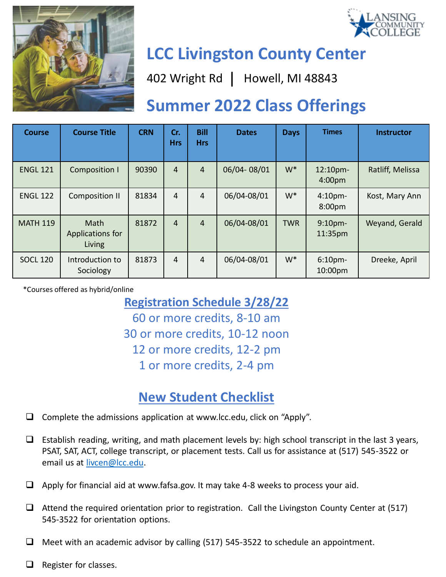



# **LCC Livingston County Center**

402 Wright Rd | Howell, MI 48843

## **Summer 2022 Class Offerings**

| <b>Course</b>   | <b>Course Title</b>                | <b>CRN</b> | Cr.<br><b>Hrs</b> | <b>Bill</b><br><b>Hrs</b> | <b>Dates</b> | <b>Days</b> | <b>Times</b>                  | <b>Instructor</b> |
|-----------------|------------------------------------|------------|-------------------|---------------------------|--------------|-------------|-------------------------------|-------------------|
| <b>ENGL 121</b> | <b>Composition I</b>               | 90390      | 4                 | $\overline{4}$            | 06/04-08/01  | $W^*$       | 12:10pm-<br>4:00pm            | Ratliff, Melissa  |
| <b>ENGL 122</b> | <b>Composition II</b>              | 81834      | 4                 | $\overline{4}$            | 06/04-08/01  | $W^*$       | 4:10 <sub>pm</sub><br>8:00pm  | Kost, Mary Ann    |
| <b>MATH 119</b> | Math<br>Applications for<br>Living | 81872      | 4                 | $\overline{4}$            | 06/04-08/01  | <b>TWR</b>  | 9:10 <sub>pm</sub><br>11:35pm | Weyand, Gerald    |
| <b>SOCL 120</b> | Introduction to<br>Sociology       | 81873      | 4                 | $\overline{4}$            | 06/04-08/01  | $W^*$       | 6:10 <sub>pm</sub><br>10:00pm | Dreeke, April     |

\*Courses offered as hybrid/online

### **Registration Schedule 3/28/22**

60 or more credits, 8-10 am 30 or more credits, 10-12 noon 12 or more credits, 12-2 pm 1 or more credits, 2-4 pm

### **New Student Checklist**

- $\Box$  Complete the admissions application at www.lcc.edu, click on "Apply".
- $\Box$  Establish reading, writing, and math placement levels by: high school transcript in the last 3 years, PSAT, SAT, ACT, college transcript, or placement tests. Call us for assistance at (517) 545-3522 or email us at [livcen@lcc.edu](mailto:livcen@lcc.edu).
- $\Box$  Apply for financial aid at www.fafsa.gov. It may take 4-8 weeks to process your aid.
- $\Box$  Attend the required orientation prior to registration. Call the Livingston County Center at (517) 545-3522 for orientation options.
- $\Box$  Meet with an academic advisor by calling (517) 545-3522 to schedule an appointment.
- $\Box$  Register for classes.